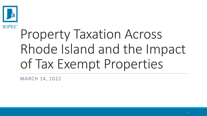

## **RIPEC** Property Taxation Across Rhode Island and the Impact of Tax Exempt Properties

MARCH 14, 2022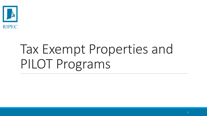

# Tax Exempt Properties and PILOT Programs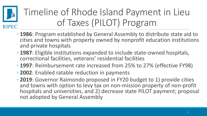

### Timeline of Rhode Island Payment in Lieu of Taxes (PILOT) Program

- **1986**: Program established by General Assembly to distribute state aid to cities and towns with property owned by nonprofit education institutions and private hospitals
- **1987**: Eligible institutions expanded to include state-owned hospitals, correctional facilities, veterans' residential facilities
- **1997**: Reimbursement rate increased from 25% to 27% (effective FY98)
- **2002**: Enabled ratable reduction in payments
- **2019**: Governor Raimondo proposed in FY20 budget to 1) provide cities and towns with option to levy tax on non-mission property of non-profit hospitals and universities, and 2) decrease state PILOT payment; proposal not adopted by General Assembly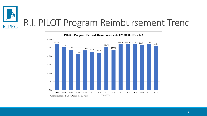

### R.I. PILOT Program Reimbursement Trend

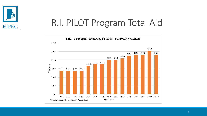

#### R.I. PILOT Program Total Aid

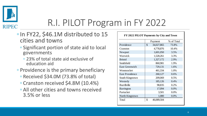

#### R.I. PILOT Program in FY 2022

- ◦In FY22, \$46.1M distributed to 15 cities and towns
	- Significant portion of state aid to local governments
		- 23% of total state aid exclusive of education aid
- Providence is the primary beneficiary
	- Received \$34.0M (73.8% of total)
	- Cranston received \$4.8M (10.4%)
	- All other cities and towns received 3.5% or less

|                        |               | Payment    | % of Total |
|------------------------|---------------|------------|------------|
| Providence             | $\mathcal{S}$ | 34,027,865 | 73.8%      |
| Cranston               |               | 4,778,876  | 10.4%      |
| Newport                |               | 1,601,050  | 3.5%       |
| Warwick                |               | 1,528,261  | 3.3%       |
| <b>Bristol</b>         |               | 1,327,172  | 2.9%       |
| Smithfield             |               | 860,981    | 1.9%       |
| <b>East Greenwich</b>  |               | 729,131    | 1.6%       |
| Woonsocket             |               | 461,334    | 1.0%       |
| <b>East Providence</b> |               | 260,127    | 0.6%       |
| South Kingstown        |               | 209,069    | 0.5%       |
| Westerly               |               | 185,126    | 0.4%       |
| <b>Burrillville</b>    |               | 98,835     | 0.2%       |
| <b>Barrington</b>      |               | 17,094     | 0.0%       |
| Partucket              |               | 3,501      | 0.0%       |
| North Kingstown        |               | 1,080      | 0.0%       |
| Total                  | \$            | 46,089,504 |            |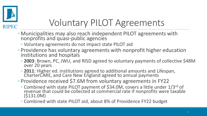

### Voluntary PILOT Agreements

- Municipalities may also reach independent PILOT agreements with nonprofits and quasi-public agencies
	- Voluntary agreements do not impact state PILOT aid
- Providence has voluntary agreements with nonprofit higher education institutions and hospitals
	- **2003**: Brown, PC, JWU, and RISD agreed to voluntary payments of collective \$48M over 20 years
	- **2011**: Higher ed. institutions agreed to additional amounts and Lifespan, CharterCARE, and Care New England agreed to annual payments
- Providence received \$7.6M from voluntary agreements in FY22
	- Combined with state PILOT payment of \$34.0M, covers a little under 1/3rd of revenue that could be collected at commercial rate if nonprofits were taxable (\$131.0M)
	- Combined with state PILOT aid, about 8% of Providence FY22 budget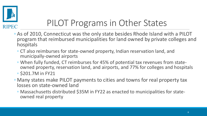

#### PILOT Programs in Other States

- As of 2010, Connecticut was the only state besides Rhode Island with a PILOT program that reimbursed municipalities for land owned by private colleges and hospitals
	- CT also reimburses for state-owned property, Indian reservation land, and municipally-owned airports
	- When fully funded, CT reimburses for 45% of potential tax revenues from stateowned property, reservation land, and airports, and 77% for colleges and hospitals
	- \$201.7M in FY21
- Many states make PILOT payments to cities and towns for real property tax losses on state-owned land
	- Massachusetts distributed \$35M in FY22 as enacted to municipalities for stateowned real property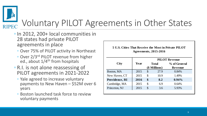

### Voluntary PILOT Agreements in Other States

- In 2012, 200+ local communities in 28 states had private PILOT agreements in place
	- Over 75% of PILOT activity in Northeast
	- Over 2/3rd PILOT revenue from higher ed., about  $1/4$ <sup>th</sup> from hospitals
- R.I. is not alone reassessing of PILOT agreements in 2021-2022
	- Yale agreed to increase voluntary payments to New Haven – \$52M over 6 years
	- Boston launched task force to review voluntary payments

| 5 U.S. Cities That Receive the Most in Private PILOT |  |
|------------------------------------------------------|--|
| Agreements, 2015-2016                                |  |

|                       |      | <b>PILOT Revenue</b> |               |              |
|-----------------------|------|----------------------|---------------|--------------|
| <b>City</b>           | Year |                      | <b>Total</b>  | % of General |
|                       |      |                      | (\$ Millions) | Revenue      |
| Boston, MA            | 2015 | \$                   | 27.9          | 0.84%        |
| New Haven, CT         | 2015 | \$                   | 10.9          | 1.49%        |
| <b>Providence, RI</b> | 2016 | \$                   | 8.2           | $0.94\%$     |
| Cambridge, MA         | 2015 | \$                   | 6.9           | 0.64%        |
| Princeton, NJ         | 2015 | \$                   | 3.6           | 5.93%        |
|                       |      |                      |               |              |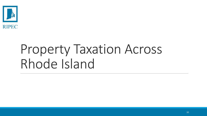

## Property Taxation Across Rhode Island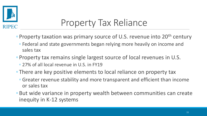

### Property Tax Reliance

- Property taxation was primary source of U.S. revenue into 20<sup>th</sup> century
	- Federal and state governments began relying more heavily on income and sales tax
- Property tax remains single largest source of local revenues in U.S.
	- 27% of all local revenue in U.S. in FY19
- There are key positive elements to local reliance on property tax
	- Greater revenue stability and more transparent and efficient than income or sales tax
- But wide variance in property wealth between communities can create inequity in K-12 systems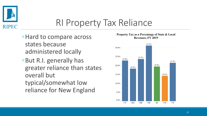

#### RI Property Tax Reliance

- ◦Hard to compare across states because administered locally
- ◦But R.I. generally has greater reliance than states overall but typical/somewhat low reliance for New England

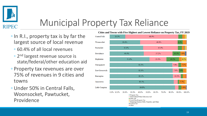

#### Municipal Property Tax Reliance

- In R.I., property tax is by far the largest source of local revenue
	- 60.4% of all local revenues
	- 2 nd largest revenue source is state/federal/other education aid
- Property tax revenues are over 75% of revenues in 9 cities and towns
- Under 50% in Central Falls, Woonsocket, Pawtucket, Providence

**Cities and Towns with Five Highest and Lowest Reliance on Property Tax, FY 2019**

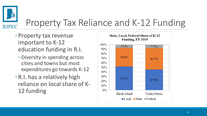

#### Property Tax Reliance and K-12 Funding

- ◦Property tax revenue important to K-12 education funding in R.I.
	- Diversity in spending across cities and towns but most expenditures go towards K-12
- ◦R.I. has a relatively high reliance on local share of K-12 funding

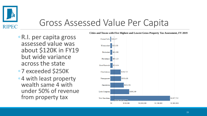

#### Gross Assessed Value Per Capita

- ◦R.I. per capita gross assessed value was about \$120K in FY19 but wide variance across the state
- ◦7 exceeded \$250K
- ◦4 with least property wealth same 4 with under 50% of revenue from property tax

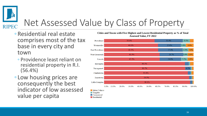

## Net Assessed Value by Class of Property

 $\Box$  Commercial Residential

- ◦Residential real estate comprises most of the tax base in every city and town
	- Providence least reliant on residential property in R.I. (56.4%)
- Low housing prices are consequently the best indicator of low assessed value per capita

**Cities and Towns with Five Highest and Lowest Residential Property as % of Total Assessed Value, FY 2022**

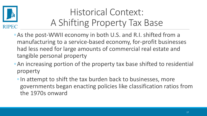

#### Historical Context: A Shifting Property Tax Base

- ◦As the post-WWII economy in both U.S. and R.I. shifted from a manufacturing to a service-based economy, for-profit businesses had less need for large amounts of commercial real estate and tangible personal property
- ◦An increasing portion of the property tax base shifted to residential property
	- ◦In attempt to shift the tax burden back to businesses, more governments began enacting policies like classification ratios from the 1970s onward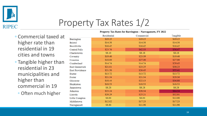

#### Property Tax Rates 1/2

◦ Commercial taxed at higher rate than residential in 19 cities and towns

- Tangible higher than residential in 23 municipalities and higher than commercial in 19
	- Often much higher

|                        |             | $-$ - $-$  |          |
|------------------------|-------------|------------|----------|
|                        | Residential | Commercial | Tangible |
| Barrington             | \$19.15     | \$19.15    | \$19.15  |
| <b>Bristol</b>         | \$14.38     | \$14.38    | \$14.38  |
| Burrillville           | \$16.42     | \$16.42    | \$16.42  |
| <b>Central Falls</b>   | \$23.76     | \$42.33    | \$56.47  |
| Charlestown            | \$8.18      | \$8.18     | \$8.18   |
| Coventry               | \$19.40     | \$23.39    | \$19.40  |
| Cranston               | \$18.00     | \$27.00    | \$27.00  |
| Cumberland             | \$14.74     | \$14.74    | \$29.45  |
| East Greenwich         | \$21.01     | \$23.25    | \$30.23  |
| <b>East Providence</b> | \$21.50     | \$26.45    | \$55.41  |
| Exeter                 | \$13.72     | \$13.72    | \$13.72  |
| Foster                 | \$21.34     | \$21.34    | \$29.36  |
| Glocester              | \$18.44     | \$22.13    | \$36.88  |
| Hopkinton              | \$18.53     | \$18.53    | \$18.53  |
| Jamestown              | \$8.28      | \$8.28     | \$8.28   |
| Johnston               | \$23.24     | \$28.34    | \$64.34  |
| Lincoln                | \$20.29     | \$25.21    | \$32.01  |
| Little Compton         | \$6.04      | \$6.04     | \$12.08  |
| Middletown             | \$12.02     | \$17.23    | \$17.23  |
| Narragansett           | \$8.86      | \$11.96    | \$11.96  |

**Property Tax Rates for Barrington – Narragansett, FY 2022**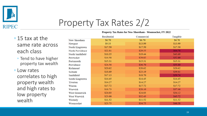

#### Property Tax Rates 2/2

#### ◦ 15 tax at the same rate across each class

- Tend to have higher property tax wealth
- Low rates correlates to high property wealth and high rates to low property wealth

|                  | Residential | Commercial | Tangible |
|------------------|-------------|------------|----------|
| New Shoreham     | \$6.70      | \$6.70     | \$6.70   |
| Newport          | \$9.33      | \$13.99    | \$13.99  |
| North Kingstown  | \$17.50     | \$17.50    | \$17.50  |
| North Providence | \$22.81     | \$29.55    | \$64.78  |
| North Smithfield | \$16.35     | \$19.44    | \$43.69  |
| Pawtucket        | \$16.58     | \$29.02    | \$52.09  |
| Portsmouth       | \$15.31     | \$15.31    | \$15.31  |
| Providence       | \$24.56     | \$36.70    | \$55.80  |
| Richmond         | \$20.62     | \$20.62    | \$20.62  |
| Scituate         | \$18.69     | \$23.19    | \$39.81  |
| Smithfield       | \$17.13     | \$18.70    | \$59.74  |
| South Kingstown  | \$14.45     | \$14.45    | \$14.45  |
| Tiverton         | \$14.27     | \$14.27    | \$14.27  |
| Warren           | \$17.72     | \$17.72    | \$17.72  |
| Warwick          | \$18.73     | \$28.10    | \$37.46  |
| West Greenwich   | \$24.03     | \$24.03    | \$34.12  |
| West Warwick     | \$23.00     | \$32.43    | \$45.72  |
| Westerly         | \$11.52     | \$11.52    | \$11.52  |
| Woonsocket       | \$23.75     | \$34.75    | \$46.58  |

**Property Tax Rates for New Shoreham - Woonsocket, FY 2022**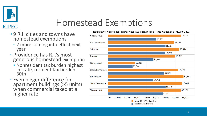

#### Homestead Exemptions

- 9 R.I. cities and towns have homestead exemptions
	- 2 more coming into effect next year
- Providence has R.I.'s most generous homestead exemption
	- Nonresident tax burden highest in state, resident tax burden 30th
- Even bigger difference for apartment buildings (>5 units) when commercial taxed at a higher rate



#### Resident vs. Nonresident Homeowner Tax Burden for a Home Valued at 319K, FY 2022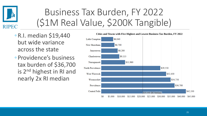

#### Business Tax Burden, FY 2022 (\$1M Real Value, \$200K Tangible)

- ◦R.I. median \$19,440 but wide variance across the state
- ◦Providence's business tax burden of \$36,700 is 2nd highest in RI and nearly 2x RI median

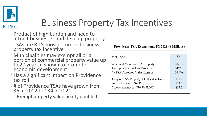

#### Business Property Tax Incentives

- Product of high burden and need to attract businesses and develop property
- TSAs are R.I.'s most common business property tax incentive
- Municipalities may exempt all or a portion of commercial property value up to 20 years if shown to promote economic development
- Has a significant impact on Providence tax roll
- # of Providence TSAs have grown from 36 in 2012 to 134 in 2021
	- Exempt property value nearly doubled

| Providence TSA Exemptions, FY 2021 (\$ Millions) |         |  |
|--------------------------------------------------|---------|--|
| # of TSAs                                        | 134     |  |
| Assessed Value on TSA Property                   | \$821.2 |  |
| Exempt Value on TSA Property                     | \$467.0 |  |
| % TSA Assessed Value Exempt                      | 56.9%   |  |
| Levy on TSA Property if Full Value Taxed         | \$30.1  |  |
| Actual Levy on TSA Property                      | \$13.0  |  |
| \$ Levy Exempt (at \$36.70/\$1,000)              | \$17.1  |  |
|                                                  |         |  |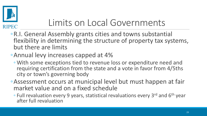

#### Limits on Local Governments

◦R.I. General Assembly grants cities and towns substantial flexibility in determining the structure of property tax systems, but there are limits

#### ◦Annual levy increases capped at 4%

- With some exceptions tied to revenue loss or expenditure need and requiring certification from the state and a vote in favor from 4/5ths city or town's governing body
- ◦Assessment occurs at municipal level but must happen at fair market value and on a fixed schedule
	- Full revaluation every 9 years, statistical revaluations every 3rd and 6th year after full revaluation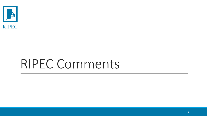

## RIPEC Comments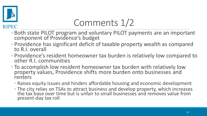

#### Comments 1/2

- Both state PILOT program and voluntary PILOT payments are an important component of Providence's budget
- Providence has significant deficit of taxable property wealth as compared to R.I. overall
- Providence's resident homeowner tax burden is relatively low compared to other R.I. communities
- To accomplish low resident homeowner tax burden with relatively low property values, Providence shifts more burden onto businesses and renters
	- Raises equity issues and hinders affordable housing and economic development
	- The city relies on TSAs to attract business and develop property, which increases the tax base over time but is unfair to small businesses and removes value from present-day tax roll